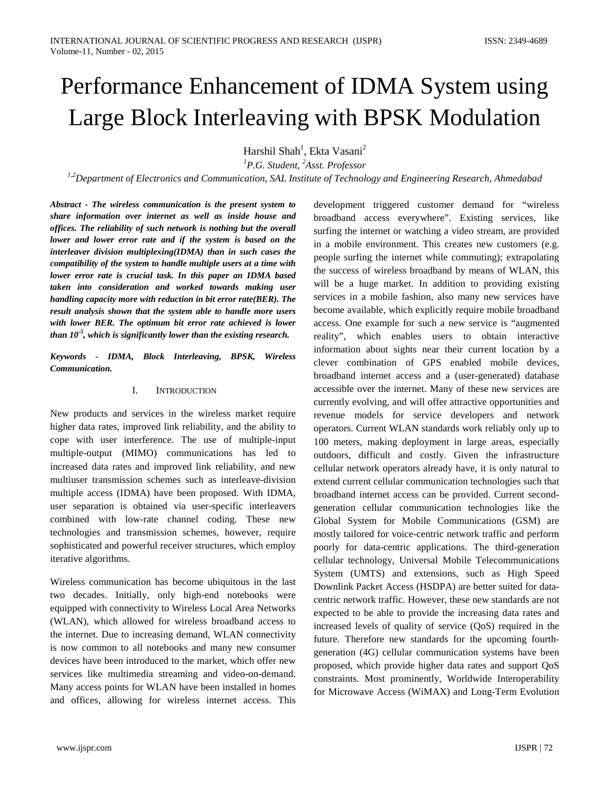Harshil Shah<sup>1</sup>, Ekta Vasani<sup>2</sup>

*1 P.G. Student, 2 Asst. Professor*

*1,2Department of Electronics and Communication, SAL Institute of Technology and Engineering Research, Ahmedabad*

*Abstract - The wireless communication is the present system to share information over internet as well as inside house and offices. The reliability of such network is nothing but the overall lower and lower error rate and if the system is based on the interleaver division multiplexing(IDMA) than in such cases the compatibility of the system to handle multiple users at a time with lower error rate is crucial task. In this paper an IDMA based taken into consideration and worked towards making user handling capacity more with reduction in bit error rate(BER). The result analysis shown that the system able to handle more users with lower BER. The optimum bit error rate achieved is lower than 10-5 , which is significantly lower than the existing research.*

*Keywords - IDMA, Block Interleaving, BPSK, Wireless Communication.*

#### I. INTRODUCTION

New products and services in the wireless market require higher data rates, improved link reliability, and the ability to cope with user interference. The use of multiple-input multiple-output (MIMO) communications has led to increased data rates and improved link reliability, and new multiuser transmission schemes such as interleave-division multiple access (IDMA) have been proposed. With IDMA, user separation is obtained via user-specific interleavers combined with low-rate channel coding. These new technologies and transmission schemes, however, require sophisticated and powerful receiver structures, which employ iterative algorithms.

Wireless communication has become ubiquitous in the last two decades. Initially, only high-end notebooks were equipped with connectivity to Wireless Local Area Networks (WLAN), which allowed for wireless broadband access to the internet. Due to increasing demand, WLAN connectivity is now common to all notebooks and many new consumer devices have been introduced to the market, which offer new services like multimedia streaming and video-on-demand. Many access points for WLAN have been installed in homes and offices, allowing for wireless internet access. This

broadband access everywhere". Existing services, like surfing the internet or watching a video stream, are provided in a mobile environment. This creates new customers (e.g. people surfing the internet while commuting); extrapolating the success of wireless broadband by means of WLAN, this will be a huge market. In addition to providing existing services in a mobile fashion, also many new services have become available, which explicitly require mobile broadband access. One example for such a new service is "augmented reality", which enables users to obtain interactive information about sights near their current location by a clever combination of GPS enabled mobile devices, broadband internet access and a (user-generated) database accessible over the internet. Many of these new services are currently evolving, and will offer attractive opportunities and revenue models for service developers and network operators. Current WLAN standards work reliably only up to 100 meters, making deployment in large areas, especially outdoors, difficult and costly. Given the infrastructure cellular network operators already have, it is only natural to extend current cellular communication technologies such that broadband internet access can be provided. Current secondgeneration cellular communication technologies like the Global System for Mobile Communications (GSM) are mostly tailored for voice-centric network traffic and perform poorly for data-centric applications. The third-generation cellular technology, Universal Mobile Telecommunications System (UMTS) and extensions, such as High Speed Downlink Packet Access (HSDPA) are better suited for datacentric network traffic. However, these new standards are not expected to be able to provide the increasing data rates and increased levels of quality of service (QoS) required in the future. Therefore new standards for the upcoming fourthgeneration (4G) cellular communication systems have been proposed, which provide higher data rates and support QoS constraints. Most prominently, Worldwide Interoperability for Microwave Access (WiMAX) and Long-Term Evolution

development triggered customer demand for "wireless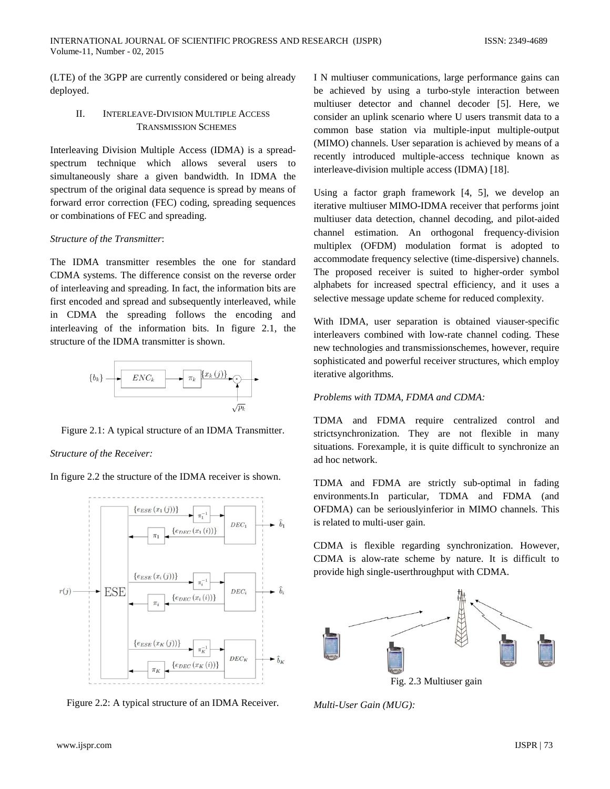(LTE) of the 3GPP are currently considered or being already deployed.

# II. INTERLEAVE-DIVISION MULTIPLE ACCESS TRANSMISSION SCHEMES

Interleaving Division Multiple Access (IDMA) is a spreadspectrum technique which allows several users to simultaneously share a given bandwidth. In IDMA the spectrum of the original data sequence is spread by means of forward error correction (FEC) coding, spreading sequences or combinations of FEC and spreading.

# *Structure of the Transmitter*:

The IDMA transmitter resembles the one for standard CDMA systems. The difference consist on the reverse order of interleaving and spreading. In fact, the information bits are first encoded and spread and subsequently interleaved, while in CDMA the spreading follows the encoding and interleaving of the information bits. In figure 2.1, the structure of the IDMA transmitter is shown.



Figure 2.1: A typical structure of an IDMA Transmitter.

*Structure of the Receiver:*

In figure 2.2 the structure of the IDMA receiver is shown.



Figure 2.2: A typical structure of an IDMA Receiver.

I N multiuser communications, large performance gains can be achieved by using a turbo-style interaction between multiuser detector and channel decoder [5]. Here, we consider an uplink scenario where U users transmit data to a common base station via multiple-input multiple-output (MIMO) channels. User separation is achieved by means of a recently introduced multiple-access technique known as interleave-division multiple access (IDMA) [18].

Using a factor graph framework [4, 5], we develop an iterative multiuser MIMO-IDMA receiver that performs joint multiuser data detection, channel decoding, and pilot-aided channel estimation. An orthogonal frequency-division multiplex (OFDM) modulation format is adopted to accommodate frequency selective (time-dispersive) channels. The proposed receiver is suited to higher-order symbol alphabets for increased spectral efficiency, and it uses a selective message update scheme for reduced complexity.

With IDMA, user separation is obtained viauser-specific interleavers combined with low-rate channel coding. These new technologies and transmissionschemes, however, require sophisticated and powerful receiver structures, which employ iterative algorithms.

# *Problems with TDMA, FDMA and CDMA:*

TDMA and FDMA require centralized control and strictsynchronization. They are not flexible in many situations. Forexample, it is quite difficult to synchronize an ad hoc network.

TDMA and FDMA are strictly sub-optimal in fading environments.In particular, TDMA and FDMA (and OFDMA) can be seriouslyinferior in MIMO channels. This is related to multi-user gain.

CDMA is flexible regarding synchronization. However, CDMA is alow-rate scheme by nature. It is difficult to provide high single-userthroughput with CDMA.



Fig. 2.3 Multiuser gain

*Multi-User Gain (MUG):*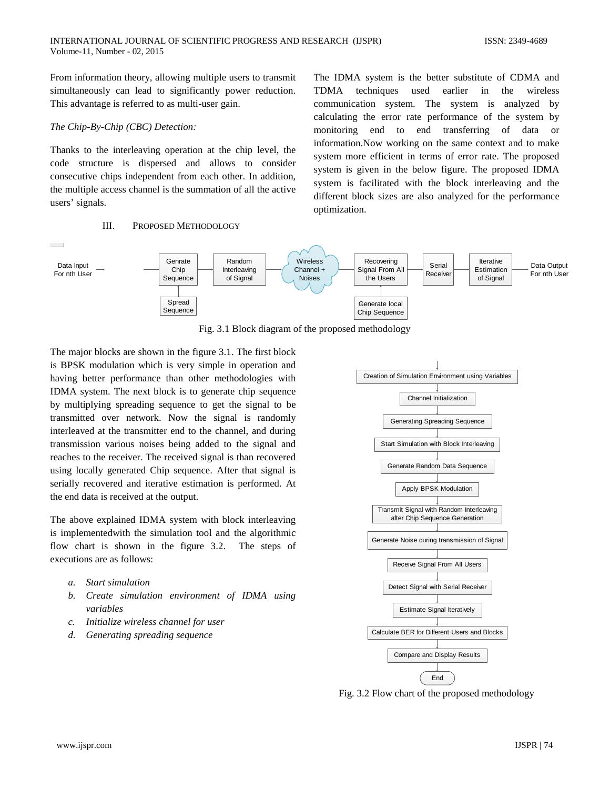From information theory, allowing multiple users to transmit simultaneously can lead to significantly power reduction. This advantage is referred to as multi-user gain.

### *The Chip-By-Chip (CBC) Detection:*

Thanks to the interleaving operation at the chip level, the code structure is dispersed and allows to consider consecutive chips independent from each other. In addition, the multiple access channel is the summation of all the active users' signals.

#### III. PROPOSED METHODOLOGY

The IDMA system is the better substitute of CDMA and TDMA techniques used earlier in the wireless communication system. The system is analyzed by calculating the error rate performance of the system by monitoring end to end transferring of data or information.Now working on the same context and to make system more efficient in terms of error rate. The proposed system is given in the below figure. The proposed IDMA system is facilitated with the block interleaving and the different block sizes are also analyzed for the performance optimization.



Fig. 3.1 Block diagram of the proposed methodology

The major blocks are shown in the figure 3.1. The first block is BPSK modulation which is very simple in operation and having better performance than other methodologies with IDMA system. The next block is to generate chip sequence by multiplying spreading sequence to get the signal to be transmitted over network. Now the signal is randomly interleaved at the transmitter end to the channel, and during transmission various noises being added to the signal and reaches to the receiver. The received signal is than recovered using locally generated Chip sequence. After that signal is serially recovered and iterative estimation is performed. At the end data is received at the output.

The above explained IDMA system with block interleaving is implementedwith the simulation tool and the algorithmic flow chart is shown in the figure 3.2. The steps of executions are as follows:

- *a. Start simulation*
- *b. Create simulation environment of IDMA using variables*
- *c. Initialize wireless channel for user*
- *d. Generating spreading sequence*



Fig. 3.2 Flow chart of the proposed methodology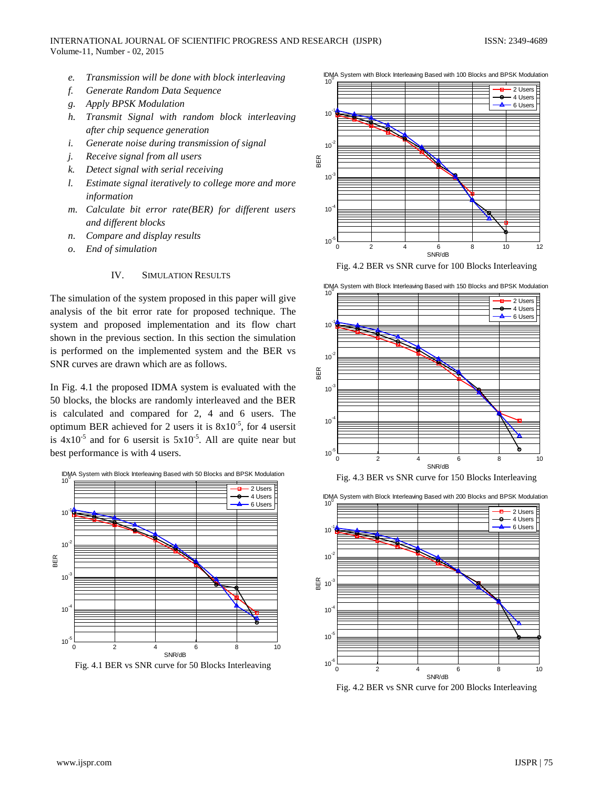- *e. Transmission will be done with block interleaving*
- *f. Generate Random Data Sequence*
- *g. Apply BPSK Modulation*
- *h. Transmit Signal with random block interleaving after chip sequence generation*
- *i. Generate noise during transmission of signal*
- *j. Receive signal from all users*
- *k. Detect signal with serial receiving*
- *l. Estimate signal iteratively to college more and more information*
- *m. Calculate bit error rate(BER) for different users and different blocks*
- *n. Compare and display results*
- *o. End of simulation*

# IV. SIMULATION RESULTS

The simulation of the system proposed in this paper will give analysis of the bit error rate for proposed technique. The system and proposed implementation and its flow chart shown in the previous section. In this section the simulation is performed on the implemented system and the BER vs SNR curves are drawn which are as follows.

In Fig. 4.1 the proposed IDMA system is evaluated with the 50 blocks, the blocks are randomly interleaved and the BER is calculated and compared for 2, 4 and 6 users. The optimum BER achieved for 2 users it is  $8x10^{-5}$ , for 4 usersit is  $4x10^{-5}$  and for 6 usersit is  $5x10^{-5}$ . All are quite near but best performance is with 4 users.



Fig. 4.1 BER vs SNR curve for 50 Blocks Interleaving



Fig. 4.2 BER vs SNR curve for 100 Blocks Interleaving







Fig. 4.2 BER vs SNR curve for 200 Blocks Interleaving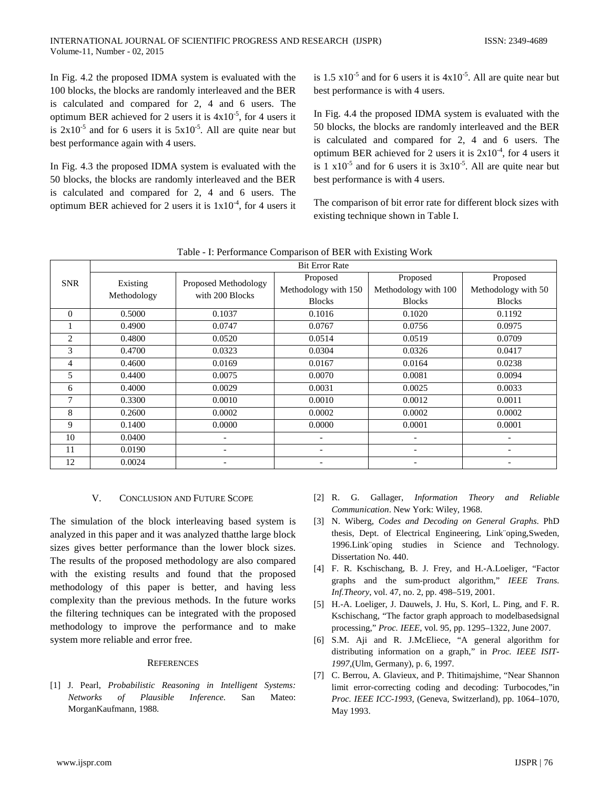In Fig. 4.2 the proposed IDMA system is evaluated with the 100 blocks, the blocks are randomly interleaved and the BER is calculated and compared for 2, 4 and 6 users. The optimum BER achieved for 2 users it is  $4x10^{-5}$ , for 4 users it is  $2x10^{-5}$  and for 6 users it is  $5x10^{-5}$ . All are quite near but best performance again with 4 users.

In Fig. 4.3 the proposed IDMA system is evaluated with the 50 blocks, the blocks are randomly interleaved and the BER is calculated and compared for 2, 4 and 6 users. The optimum BER achieved for 2 users it is  $1x10^{-4}$ , for 4 users it

is 1.5  $\times$  10<sup>-5</sup> and for 6 users it is  $4\times10^{-5}$ . All are quite near but best performance is with 4 users.

In Fig. 4.4 the proposed IDMA system is evaluated with the 50 blocks, the blocks are randomly interleaved and the BER is calculated and compared for 2, 4 and 6 users. The optimum BER achieved for 2 users it is  $2x10^{-4}$ , for 4 users it is  $1 \times 10^{-5}$  and for 6 users it is  $3 \times 10^{-5}$ . All are quite near but best performance is with 4 users.

The comparison of bit error rate for different block sizes with existing technique shown in Table I.

| Table - I. Ferrormance Comparison of BEN with Existing WOR |                         |                                         |                              |                          |                          |
|------------------------------------------------------------|-------------------------|-----------------------------------------|------------------------------|--------------------------|--------------------------|
|                                                            | <b>Bit Error Rate</b>   |                                         |                              |                          |                          |
| <b>SNR</b>                                                 | Existing<br>Methodology | Proposed Methodology<br>with 200 Blocks | Proposed                     | Proposed                 | Proposed                 |
|                                                            |                         |                                         | Methodology with 150         | Methodology with 100     | Methodology with 50      |
|                                                            |                         |                                         | <b>Blocks</b>                | <b>Blocks</b>            | <b>Blocks</b>            |
| $\Omega$                                                   | 0.5000                  | 0.1037                                  | 0.1016                       | 0.1020                   | 0.1192                   |
|                                                            | 0.4900                  | 0.0747                                  | 0.0767                       | 0.0756                   | 0.0975                   |
| 2                                                          | 0.4800                  | 0.0520                                  | 0.0514                       | 0.0519                   | 0.0709                   |
| 3                                                          | 0.4700                  | 0.0323                                  | 0.0304                       | 0.0326                   | 0.0417                   |
| $\overline{4}$                                             | 0.4600                  | 0.0169                                  | 0.0167                       | 0.0164                   | 0.0238                   |
| 5                                                          | 0.4400                  | 0.0075                                  | 0.0070                       | 0.0081                   | 0.0094                   |
| 6                                                          | 0.4000                  | 0.0029                                  | 0.0031                       | 0.0025                   | 0.0033                   |
| 7                                                          | 0.3300                  | 0.0010                                  | 0.0010                       | 0.0012                   | 0.0011                   |
| 8                                                          | 0.2600                  | 0.0002                                  | 0.0002                       | 0.0002                   | 0.0002                   |
| 9                                                          | 0.1400                  | 0.0000                                  | 0.0000                       | 0.0001                   | 0.0001                   |
| 10                                                         | 0.0400                  |                                         |                              |                          |                          |
| 11                                                         | 0.0190                  | $\overline{\phantom{a}}$                | $\qquad \qquad \blacksquare$ | $\overline{\phantom{a}}$ | $\overline{\phantom{0}}$ |
| 12                                                         | 0.0024                  |                                         |                              |                          |                          |

Table - I: Performance Comparison of BER with Existing Work

#### V. CONCLUSION AND FUTURE SCOPE

The simulation of the block interleaving based system is analyzed in this paper and it was analyzed thatthe large block sizes gives better performance than the lower block sizes. The results of the proposed methodology are also compared with the existing results and found that the proposed methodology of this paper is better, and having less complexity than the previous methods. In the future works the filtering techniques can be integrated with the proposed methodology to improve the performance and to make system more reliable and error free.

#### **REFERENCES**

[1] J. Pearl, *Probabilistic Reasoning in Intelligent Systems: Networks of Plausible Inference*. San Mateo: MorganKaufmann, 1988.

- [2] R. G. Gallager, *Information Theory and Reliable Communication*. New York: Wiley, 1968.
- [3] N. Wiberg, *Codes and Decoding on General Graphs*. PhD thesis, Dept. of Electrical Engineering, Link¨oping,Sweden, 1996.Link¨oping studies in Science and Technology. Dissertation No. 440.
- [4] F. R. Kschischang, B. J. Frey, and H.-A.Loeliger, "Factor graphs and the sum-product algorithm," *IEEE Trans. Inf.Theory*, vol. 47, no. 2, pp. 498–519, 2001.
- [5] H.-A. Loeliger, J. Dauwels, J. Hu, S. Korl, L. Ping, and F. R. Kschischang, "The factor graph approach to modelbasedsignal processing," *Proc. IEEE*, vol. 95, pp. 1295–1322, June 2007.
- [6] S.M. Aji and R. J.McEliece, "A general algorithm for distributing information on a graph," in *Proc. IEEE ISIT-1997*,(Ulm, Germany), p. 6, 1997.
- [7] C. Berrou, A. Glavieux, and P. Thitimajshime, "Near Shannon limit error-correcting coding and decoding: Turbocodes,"in *Proc. IEEE ICC-1993*, (Geneva, Switzerland), pp. 1064–1070, May 1993.